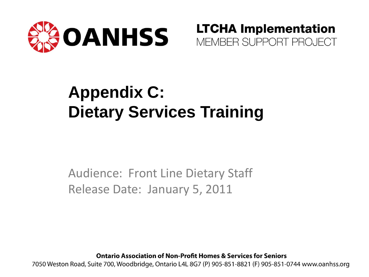

**LTCHA Implementation** MEMBER SUPPORT PROJECT

#### **Appendix C: Dietary Services Training**

Audience: Front Line Dietary Staff Release Date: January 5, 2011

**Ontario Association of Non-Profit Homes & Services for Seniors** 

7050 Weston Road, Suite 700, Woodbridge, Ontario L4L 8G7 (P) 905-851-8821 (F) 905-851-0744 www.oanhss.org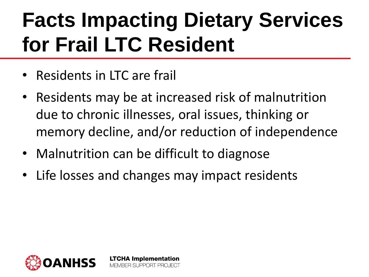#### **Facts Impacting Dietary Services for Frail LTC Resident**

- Residents in LTC are frail
- Residents may be at increased risk of malnutrition due to chronic illnesses, oral issues, thinking or memory decline, and/or reduction of independence
- Malnutrition can be difficult to diagnose

**LTCHA Implementation** MEMBER SLIPPORT PROJECT

• Life losses and changes may impact residents

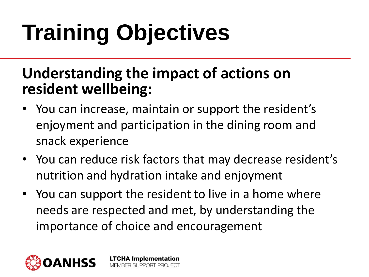# **Training Objectives**

#### **Understanding the impact of actions on resident wellbeing:**

- You can increase, maintain or support the resident's enjoyment and participation in the dining room and snack experience
- You can reduce risk factors that may decrease resident's nutrition and hydration intake and enjoyment
- You can support the resident to live in a home where needs are respected and met, by understanding the importance of choice and encouragement

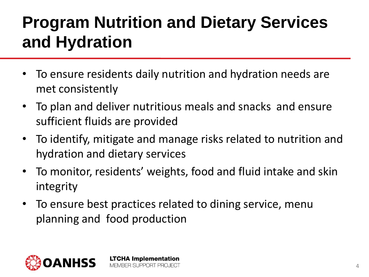#### **Program Nutrition and Dietary Services and Hydration**

- To ensure residents daily nutrition and hydration needs are met consistently
- To plan and deliver nutritious meals and snacks and ensure sufficient fluids are provided
- To identify, mitigate and manage risks related to nutrition and hydration and dietary services
- To monitor, residents' weights, food and fluid intake and skin integrity
- To ensure best practices related to dining service, menu planning and food production

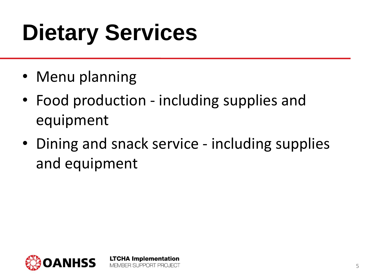## **Dietary Services**

- Menu planning
- Food production including supplies and equipment

**LTCHA Implementation** MEMBER SUPPORT PROJECT

• Dining and snack service - including supplies and equipment

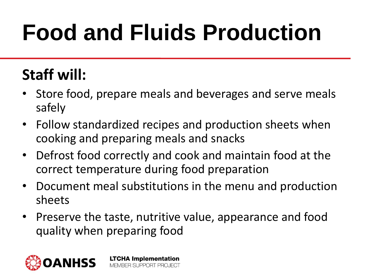## **Food and Fluids Production**

#### **Staff will:**

- Store food, prepare meals and beverages and serve meals safely
- Follow standardized recipes and production sheets when cooking and preparing meals and snacks
- Defrost food correctly and cook and maintain food at the correct temperature during food preparation
- Document meal substitutions in the menu and production sheets
- Preserve the taste, nutritive value, appearance and food quality when preparing food

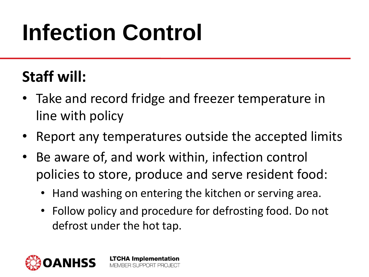## **Infection Control**

#### **Staff will:**

- Take and record fridge and freezer temperature in line with policy
- Report any temperatures outside the accepted limits
- Be aware of, and work within, infection control policies to store, produce and serve resident food:

- Hand washing on entering the kitchen or serving area.
- Follow policy and procedure for defrosting food. Do not defrost under the hot tap.

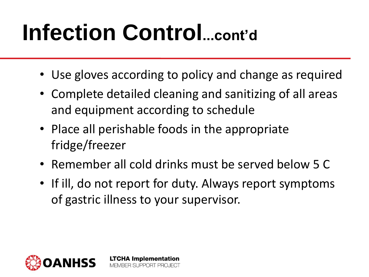### **Infection Control...cont'd**

- Use gloves according to policy and change as required
- Complete detailed cleaning and sanitizing of all areas and equipment according to schedule
- Place all perishable foods in the appropriate fridge/freezer

- Remember all cold drinks must be served below 5 C
- If ill, do not report for duty. Always report symptoms of gastric illness to your supervisor.

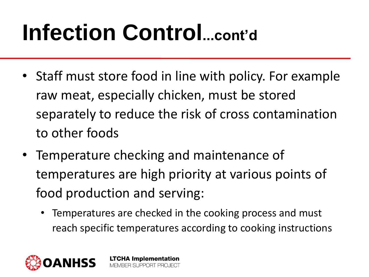### **Infection Control...cont'd**

- Staff must store food in line with policy. For example raw meat, especially chicken, must be stored separately to reduce the risk of cross contamination to other foods
- Temperature checking and maintenance of temperatures are high priority at various points of food production and serving:
	- Temperatures are checked in the cooking process and must reach specific temperatures according to cooking instructions

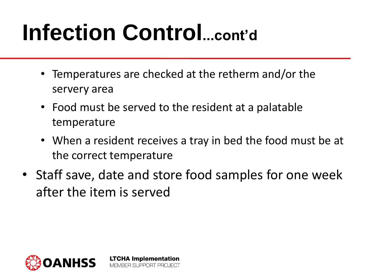### **Infection Control...cont'd**

- Temperatures are checked at the retherm and/or the servery area
- Food must be served to the resident at a palatable temperature
- When a resident receives a tray in bed the food must be at the correct temperature
- Staff save, date and store food samples for one week after the item is served

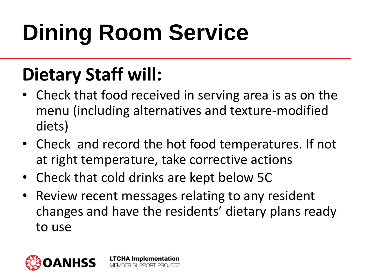## **Dining Room Service**

#### **Dietary Staff will:**

- Check that food received in serving area is as on the menu (including alternatives and texture-modified diets)
- Check and record the hot food temperatures. If not at right temperature, take corrective actions
- Check that cold drinks are kept below 5C

**LTCHA Implementation** MEMBER SUPPORT PROJECT

Review recent messages relating to any resident changes and have the residents' dietary plans ready to use

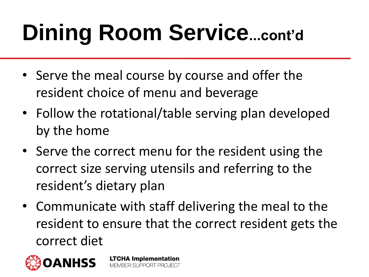## **Dining Room Service...cont'd**

- Serve the meal course by course and offer the resident choice of menu and beverage
- Follow the rotational/table serving plan developed by the home
- Serve the correct menu for the resident using the correct size serving utensils and referring to the resident's dietary plan
- Communicate with staff delivering the meal to the resident to ensure that the correct resident gets the correct diet

**LTCHA Implementation** 

MEMBER SUPPORT PROJECT

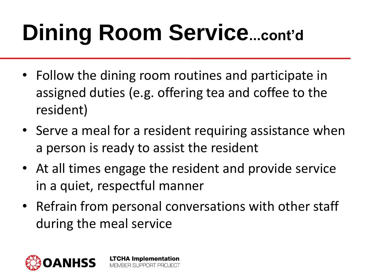## **Dining Room Service...cont'd**

- Follow the dining room routines and participate in assigned duties (e.g. offering tea and coffee to the resident)
- Serve a meal for a resident requiring assistance when a person is ready to assist the resident
- At all times engage the resident and provide service in a quiet, respectful manner
- Refrain from personal conversations with other staff during the meal service

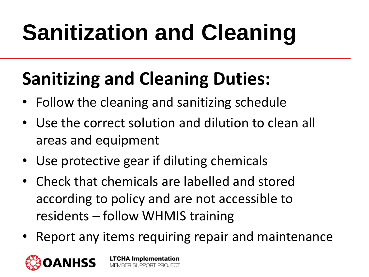# **Sanitization and Cleaning**

#### **Sanitizing and Cleaning Duties:**

- Follow the cleaning and sanitizing schedule
- Use the correct solution and dilution to clean all areas and equipment
- Use protective gear if diluting chemicals
- Check that chemicals are labelled and stored according to policy and are not accessible to residents – follow WHMIS training
- Report any items requiring repair and maintenance

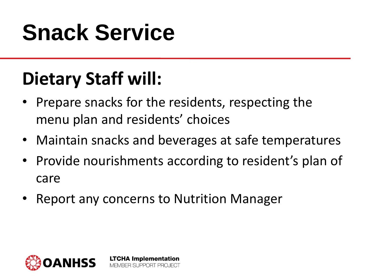#### **Snack Service**

#### **Dietary Staff will:**

- Prepare snacks for the residents, respecting the menu plan and residents' choices
- Maintain snacks and beverages at safe temperatures
- Provide nourishments according to resident's plan of care
- Report any concerns to Nutrition Manager